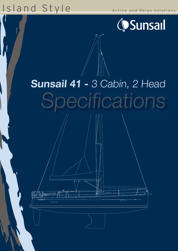# Island Style

Active and Relax solutions



# Sunsail 41 - 3 Cabin, 2 Head Specifications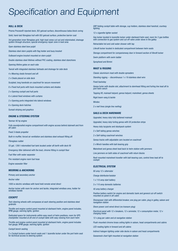### Specification and Equipment

#### HULL & DECK

Prisma Process® injected deck, ISO gelcoat surface, discontinuous balsa block coring Solid, hand-laid fibreglass hull with ISO gelcoat surface, protective barrier coat 3rd generation inner fibreglass grid, high-load zones cut out and relaminated, drainage system through structure, special emergency repair zone in keel area Open stainless steel bow pulpit Stainless steel stern pulpits with flag holder and buoy bracket Outboard engine bracket mounted on stern pulpit Double stainless steel lifelines without PVC coating, stainless steel stanchions Opening lifeline gates on each side Toerail with integrated stainless fairleads and drainage for side deck 4 x Mooring cleats forward and aft 2 x Cleats placed on side deck Sculpted, long handrails on coachroof for secure movement 8 x Fixed hull ports with track-mounted curtains and shades 2 x Opening cockpit and hull ports 6 x Lateral fixed windows with curtains 2 x Opening ports integrated into lateral windows 6 x Opening deck hatches

Sunsail striping and graphics

#### ENGINE & STEERING SYSTEM

Yanmar 40 hp engine

Fully soundproofed engine compartment with engine access behind stairwell and from aft cabin

Fixed 3-blade propeller

Built-in muffler, forced air ventilation and stainless steel exhaust fitting aft

Fibreglass rudder

53 gal. / 200 l rotomolded fuel tank located under aft berth with deck fill

Emergency tiller delivered with the boat, chrome fitting in cockpit floor

Fuel filter with water separator

Fire resistant engine room fuel hose

Engine seawater filter

#### MOORING & ANCHORING

Primary and secondary anchor

Anchor roller

1000 w electric windlass with hand held remote wired direct

Anchor locker with room for anchor and tackle, integrated windlass area, holder for windlass handle

#### **COCKPIT**

Twin steering wheels with compasses at each steering position and stainless steel grabrails

Throttle and engine control panel mounted at starboard helm, engine panel includes, RPM gauge, warning lights, ignition

Dedicated space for instruments within easy reach of helm positions, room for GPS chartplotter mounted at aft end of cockpit table with easy viewing from each helm

Throttle and engine control panel mounted at starboard helm, engine panel includes fuel gauge, RPM gauge, warning lights, ignition

Cockpit bench seating

2 x Cockpit lockers under bench seats and 1 lazerette locker under the port helm seat for technical access to steering system

GRP folding cockpit table with storage, cup holders, stainless steel handrail, courtesy lighting

12 v cigarette lighter socket

Gas locker located in lazerette locker under starboard helm seat, room for 2 gas bottles with connection to gas system and cut-off valve under stove in the galley

Retractable hot and cold water shower with tap

Liferaft locker located in dedicated compartment between helm seats

Storage compartment for companionway door in forward section of liferaft locker

Swim platform with swim ladder

Sprayhood and Bimini

#### MAST & RIGGING

Classic aluminium mast with double spreaders

Standing rigging -- discontinuous 1 x 19 stainless steel wire

Fixed backstay

Genoa furler with double slot, attachment to stemhead fitting and furling line lead aft to port helm winch

Topping lift, mainsail halyard, genoa halyard, mainsheet, genoa sheets

Rigid boom vang & tackle

**Windex** 

2 x reef lines (single line reefing)

#### SAILS & DECK HARDWARE

Upgraded, heavy duty fully battened mainsail

Upgraded, heavy duty furling genoa with UV protection strips

Heavy duty lazyjacks and stackpack system

2 x Self-tailing genoa winches

2 x Self-tailing coachroof winches

Genoa tracks with adjustable cars located on coachroof

2 x Winch handles with ball-bearing grip

Mainsheet and genoa sheet lead back to helm station with jammers

Line jammers on both sides of coachroof with return blocks

Roof-mounted mainsheet traveller with ball-bearing cars, control lines lead aft to cockpit

#### ELECTRICAL SYSTEM

80 amp 12 v alternator

Charge distributor/isolator

1 x 110 amp start battery

3 x 110 amp domestic batteries

40 amp battery charger

Positive battery switch for engine and domestic bank and general cut-off switch mounted on panel in aft cabin

Shorepower inlet with differential breaker, one plug per cabin, plug in galley, saloon and navigation station

Shore power cord wired direct (no transom plug)

Electrical panel with 12 v breakers, 12 v ammeter, 12 v consumption meter, 12 v charging meter

12 v plug per cabin and at navigation station

Flush mounted chrome brass ceiling lights in saloon, head compartments and cabins

LED reading lights in forward and aft cabins

Indirect halogen lighting under side decks in saloon and head compartments

Gooseneck chart light mounted at navigation station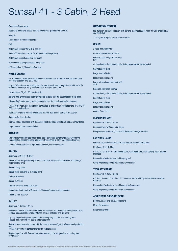### Sunsail 41 - 3 Cabin, 2 Head

Propane solenoid valve

Electronic depth and speed reading speed over ground from the GPS

Autopilot

Chart plotter mounted in cockpit

VHF

Waterproof speaker for VHF in cockpit

Stereo/CD with front socket for MP3 with inside speakers

Waterproof cockpit speakers for stereo

Fans in each cabin plus saloon and galley

LED navigation lights and anchor light

#### WATER SYSTEM

2 x Rotomolded water tanks located under forward and aft berths with separate deck fills. Total capacity 140 gal. / 530 l

21 gal. /80 l rotomolded holding tank located in each head compartment with valve for overboard discharge via gravity and deck fitting for pump out

1 x additional 21gal. / 80 l waste tank

Hot and cold pressurised water distributed through-out the boat via semi-rigid hose

"Heavy-duty" water pump and accumulator tank for consistent water pressure

10 gal. / 40 l hot water tank that is connected to engine heat exchanger and to 110 v or 220 v electrical system

Electric bilge pump on float switch and manual dual-action pump in the cockpit

Digital water level display

Shower sumps equipped with individual electric pumps with filters and on-off switches

Large manual pump marine toilets

#### INTERIOR

Contemporary interior design in "Fine Teak" laminated panels with solid wood trim around galley, companionway and cabinetry, finished in satin UV stabilised varnish

Laminate floorboards with light-coloured lines, varnished edges

#### SALOON

Headroom: 6 ft 3 in / 1.92 m

Saloon with U-shaped seating area to starboard, wrap-around cushions and storage under seating area

Saloon dining table

Saloon table converts to a double berth

2 stools in saloon

Saloon cushions

Storage cabinets along hull sides

Lounge seating to port with plush cushions and upper storage cabinets

Saloon stereo speaker

#### **GALLEY**

Headroom 6 ft 3 in / 1.91 m

Galley with double stainless steel sinks with covers, and reversible cutting board, solid counter tops, chrome plumbing fittings, storage cabinets and drawers

L-galley to port with glass separator between galley counter and seating area Storage compartment for books and magazines

Stainless steel gimballed stove with 2-burners, oven and grill. Stainless steel protection

ba 47 gal. / 180 l Fridge compartment with vertical access

Single fridge box with freezer area, wire baskets, 12 v refrigeration and integrated compressor

#### NAVIGATION STATION

Full-function navigation station with general electrical panel, room for GPS chartplotter and bookshelf

12 v cigarette lighter socket at chart table

#### **HEADS**

2 head compartments

Chrome shower taps in heads

Forward head compartment with: Sink

Clothes hook, mirror, towel holder, toilet paper holder, wastebasket

Cabinet above sink

Large, manual toilet

Electric drainage pump

Large aft head compartment with: Sink

Separate plexiglass shower

Clothes hook, mirror, towel holder, toilet paper holder, wastebasket

Cabinet above sink

Large, manual toilet

Electric drainage pump

Access from saloon

#### COMPANION WAY

Headroom: 6 ft 4 in / 1.94 m Companionway with non-slip steps Plexiglass companionway door with dedicated storage location

#### FORWARD CABIN

Forward cabin with central berth and storage forward of the berth

Headroom: 6 ft / 1.84 m

6 ft 10 in / 2.1m x 6 ft / 2m double berth, with wood trim, high-density foam marine mattress

Deep cabinet with shelves and hanging rod

White vinyl lining on hull with lateral wood shelf

#### TWIN AFT CABINS

Headroom: 6 ft 4 in / 1.95 m

6 ft 6 in / 2.00 m x 5 ft 1 in / 1.57 m double berths with high-density foam marine mattress

Deep cabinet with shelves and hanging rod per cabin

White vinyl lining on hull with lateral wood shelf

#### ADDITIONAL CRUISING GEAR

Bedding, linens and galley equipment

Mosquito screens

Safety equipment